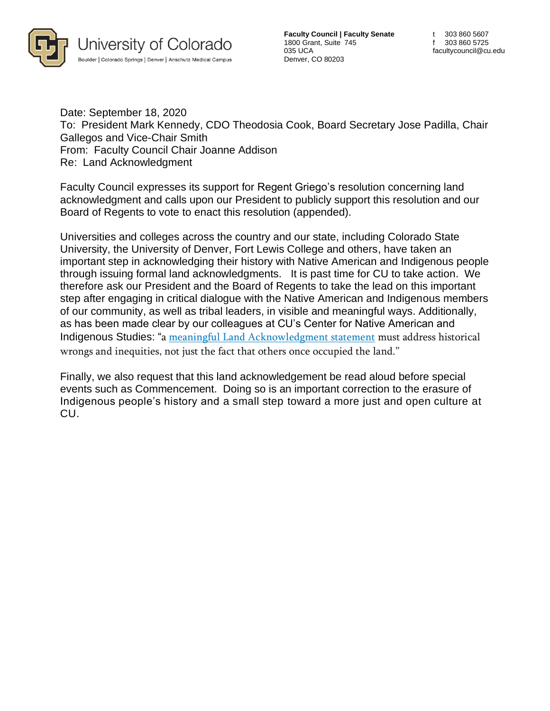

**Faculty Council | Faculty Senate** 1800 Grant, Suite 745 035 UCA Denver, CO 80203

Date: September 18, 2020 To: President Mark Kennedy, CDO Theodosia Cook, Board Secretary Jose Padilla, Chair Gallegos and Vice-Chair Smith From: Faculty Council Chair Joanne Addison Re: Land Acknowledgment

Faculty Council expresses its support for Regent Griego's resolution concerning land acknowledgment and calls upon our President to publicly support this resolution and our Board of Regents to vote to enact this resolution (appended).

Universities and colleges across the country and our state, including Colorado State University, the University of Denver, Fort Lewis College and others, have taken an important step in acknowledging their history with Native American and Indigenous people through issuing formal land acknowledgments. It is past time for CU to take action. We therefore ask our President and the Board of Regents to take the lead on this important step after engaging in critical dialogue with the Native American and Indigenous members of our community, as well as tribal leaders, in visible and meaningful ways. Additionally, as has been made clear by our colleagues at CU's Center for Native American and Indigenous Studies: "a meaningful Land [Acknowledgment](https://nativegov.org/a-guide-to-indigenous-land-acknowledgment/) statement must address historical wrongs and inequities, not just the fact that others once occupied the land."

Finally, we also request that this land acknowledgement be read aloud before special events such as Commencement. Doing so is an important correction to the erasure of Indigenous people's history and a small step toward a more just and open culture at CU.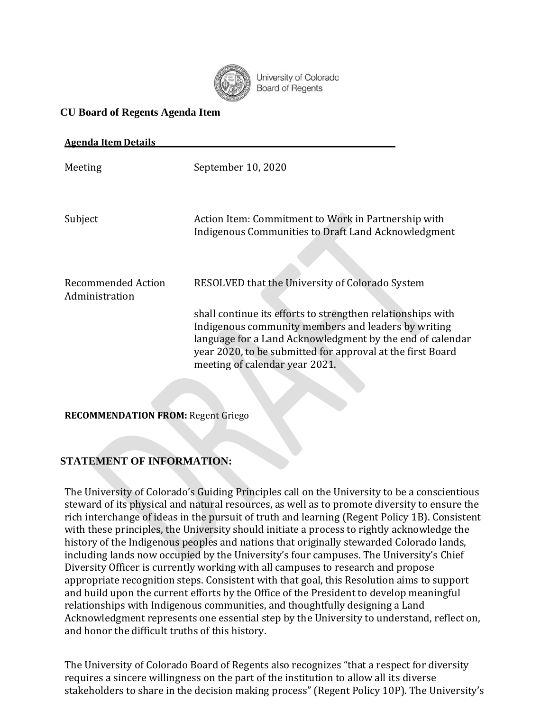

University of Colorado **Board of Regents** 

## **CU Board of Regents Agenda Item**

| <b>Agenda Item Details</b>           |                                                                                                                                                                                                                                                                                                                                    |
|--------------------------------------|------------------------------------------------------------------------------------------------------------------------------------------------------------------------------------------------------------------------------------------------------------------------------------------------------------------------------------|
| Meeting                              | September 10, 2020                                                                                                                                                                                                                                                                                                                 |
| Subject                              | Action Item: Commitment to Work in Partnership with<br>Indigenous Communities to Draft Land Acknowledgment                                                                                                                                                                                                                         |
| Recommended Action<br>Administration | RESOLVED that the University of Colorado System<br>shall continue its efforts to strengthen relationships with<br>Indigenous community members and leaders by writing<br>language for a Land Acknowledgment by the end of calendar<br>year 2020, to be submitted for approval at the first Board<br>meeting of calendar year 2021. |

**RECOMMENDATION FROM:** Regent Griego

## **STATEMENT OF INFORMATION:**

The University of Colorado's Guiding Principles call on the University to be a conscientious steward of its physical and natural resources, as well as to promote diversity to ensure the rich interchange of ideas in the pursuit of truth and learning (Regent Policy 1B). Consistent with these principles, the University should initiate a process to rightly acknowledge the history of the Indigenous peoples and nations that originally stewarded Colorado lands, including lands now occupied by the University's four campuses. The University's Chief Diversity Officer is currently working with all campuses to research and propose appropriate recognition steps. Consistent with that goal, this Resolution aims to support and build upon the current efforts by the Office of the President to develop meaningful relationships with Indigenous communities, and thoughtfully designing a Land Acknowledgment represents one essential step by the University to understand, reflect on, and honor the difficult truths of this history.

The University of Colorado Board of Regents also recognizes "that a respect for diversity requires a sincere willingness on the part of the institution to allow all its diverse stakeholders to share in the decision making process" (Regent Policy 10P). The University's